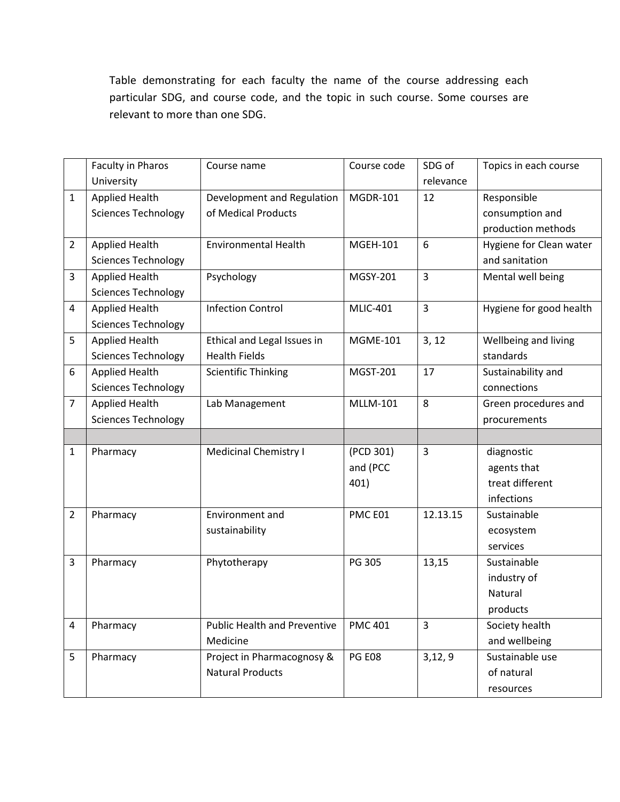Table demonstrating for each faculty the name of the course addressing each particular SDG, and course code, and the topic in such course. Some courses are relevant to more than one SDG.

|                                                                                                                           | Topics in each course |
|---------------------------------------------------------------------------------------------------------------------------|-----------------------|
| University<br>relevance                                                                                                   |                       |
| <b>Applied Health</b><br>Development and Regulation<br><b>MGDR-101</b><br>12<br>Responsible<br>$\mathbf{1}$               |                       |
| <b>Sciences Technology</b><br>of Medical Products<br>consumption and                                                      |                       |
| production methods                                                                                                        |                       |
| <b>Applied Health</b><br><b>Environmental Health</b><br>6<br>Hygiene for Clean water<br><b>MGEH-101</b><br>$\overline{2}$ |                       |
| and sanitation<br><b>Sciences Technology</b>                                                                              |                       |
| $\overline{3}$<br>3<br><b>Applied Health</b><br>MGSY-201<br>Psychology<br>Mental well being                               |                       |
| <b>Sciences Technology</b>                                                                                                |                       |
| $\overline{3}$<br><b>Infection Control</b><br>Hygiene for good health<br><b>Applied Health</b><br><b>MLIC-401</b><br>4    |                       |
| <b>Sciences Technology</b>                                                                                                |                       |
| 5<br><b>Applied Health</b><br>Ethical and Legal Issues in<br><b>MGME-101</b><br>3, 12<br>Wellbeing and living             |                       |
| <b>Health Fields</b><br>standards<br><b>Sciences Technology</b>                                                           |                       |
| <b>Applied Health</b><br>17<br><b>Scientific Thinking</b><br>MGST-201<br>Sustainability and<br>6                          |                       |
| <b>Sciences Technology</b><br>connections                                                                                 |                       |
| 8<br><b>Applied Health</b><br><b>MLLM-101</b><br>$\overline{7}$<br>Lab Management<br>Green procedures and                 |                       |
| <b>Sciences Technology</b><br>procurements                                                                                |                       |
|                                                                                                                           |                       |
| $\overline{3}$<br><b>Medicinal Chemistry I</b><br>(PCD 301)<br>diagnostic<br>Pharmacy<br>$\mathbf{1}$                     |                       |
| and (PCC<br>agents that                                                                                                   |                       |
| 401)<br>treat different                                                                                                   |                       |
| infections                                                                                                                |                       |
| $\overline{2}$<br>PMC E01<br>12.13.15<br>Pharmacy<br>Environment and<br>Sustainable                                       |                       |
| sustainability<br>ecosystem                                                                                               |                       |
| services                                                                                                                  |                       |
| 13,15<br>PG 305<br>3<br>Phytotherapy<br>Sustainable<br>Pharmacy                                                           |                       |
| industry of                                                                                                               |                       |
| Natural                                                                                                                   |                       |
|                                                                                                                           |                       |
| products                                                                                                                  |                       |
| Pharmacy<br><b>Public Health and Preventive</b><br><b>PMC 401</b><br>3<br>4<br>Society health                             |                       |
| and wellbeing<br>Medicine                                                                                                 |                       |
| Project in Pharmacognosy &<br>Sustainable use<br>5<br>Pharmacy<br><b>PG E08</b><br>3,12,9                                 |                       |
| <b>Natural Products</b><br>of natural                                                                                     |                       |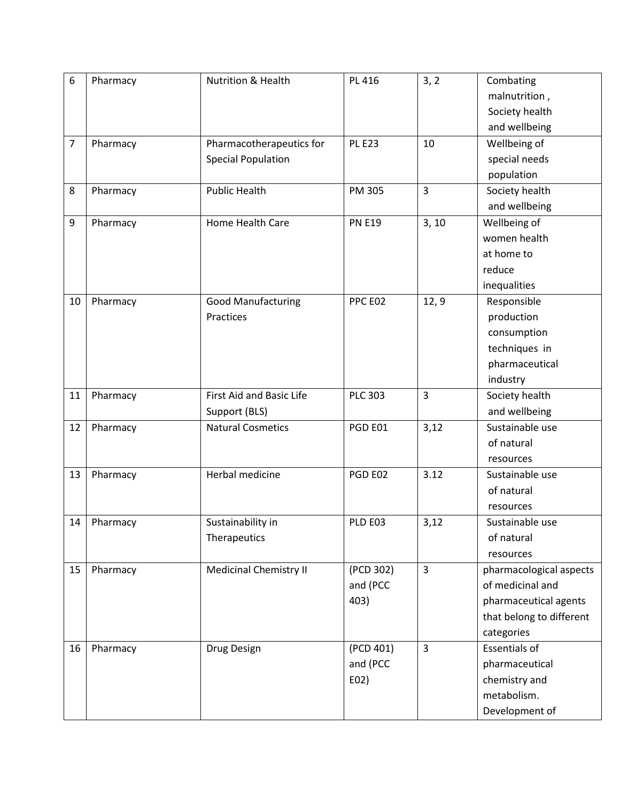| 6              | Pharmacy | <b>Nutrition &amp; Health</b> | PL 416         | 3, 2           | Combating                |
|----------------|----------|-------------------------------|----------------|----------------|--------------------------|
|                |          |                               |                |                | malnutrition,            |
|                |          |                               |                |                | Society health           |
|                |          |                               |                |                | and wellbeing            |
| $\overline{7}$ | Pharmacy | Pharmacotherapeutics for      | <b>PL E23</b>  | 10             | Wellbeing of             |
|                |          | <b>Special Population</b>     |                |                | special needs            |
|                |          |                               |                |                | population               |
| 8              | Pharmacy | <b>Public Health</b>          | PM 305         | $\overline{3}$ | Society health           |
|                |          |                               |                |                | and wellbeing            |
| 9              | Pharmacy | Home Health Care              | <b>PN E19</b>  | 3, 10          | Wellbeing of             |
|                |          |                               |                |                | women health             |
|                |          |                               |                |                | at home to               |
|                |          |                               |                |                | reduce                   |
|                |          |                               |                |                | inequalities             |
| 10             | Pharmacy | <b>Good Manufacturing</b>     | PPC E02        | 12, 9          | Responsible              |
|                |          | Practices                     |                |                | production               |
|                |          |                               |                |                | consumption              |
|                |          |                               |                |                | techniques in            |
|                |          |                               |                |                | pharmaceutical           |
|                |          |                               |                |                | industry                 |
| 11             | Pharmacy | First Aid and Basic Life      | <b>PLC 303</b> | $\overline{3}$ | Society health           |
|                |          | Support (BLS)                 |                |                | and wellbeing            |
| 12             | Pharmacy | <b>Natural Cosmetics</b>      | PGD E01        | 3,12           | Sustainable use          |
|                |          |                               |                |                | of natural               |
|                |          |                               |                |                | resources                |
| 13             | Pharmacy | Herbal medicine               | PGD E02        | 3.12           | Sustainable use          |
|                |          |                               |                |                | of natural               |
|                |          |                               |                |                | resources                |
| 14             | Pharmacy | Sustainability in             | PLD E03        | 3,12           | Sustainable use          |
|                |          | Therapeutics                  |                |                | of natural               |
|                |          |                               |                |                | resources                |
| 15             | Pharmacy | <b>Medicinal Chemistry II</b> | (PCD 302)      | $\overline{3}$ | pharmacological aspects  |
|                |          |                               | and (PCC       |                | of medicinal and         |
|                |          |                               | 403)           |                | pharmaceutical agents    |
|                |          |                               |                |                | that belong to different |
|                |          |                               |                |                | categories               |
| 16             | Pharmacy | Drug Design                   | (PCD 401)      | $\overline{3}$ | <b>Essentials of</b>     |
|                |          |                               | and (PCC       |                | pharmaceutical           |
|                |          |                               | E02)           |                | chemistry and            |
|                |          |                               |                |                | metabolism.              |
|                |          |                               |                |                | Development of           |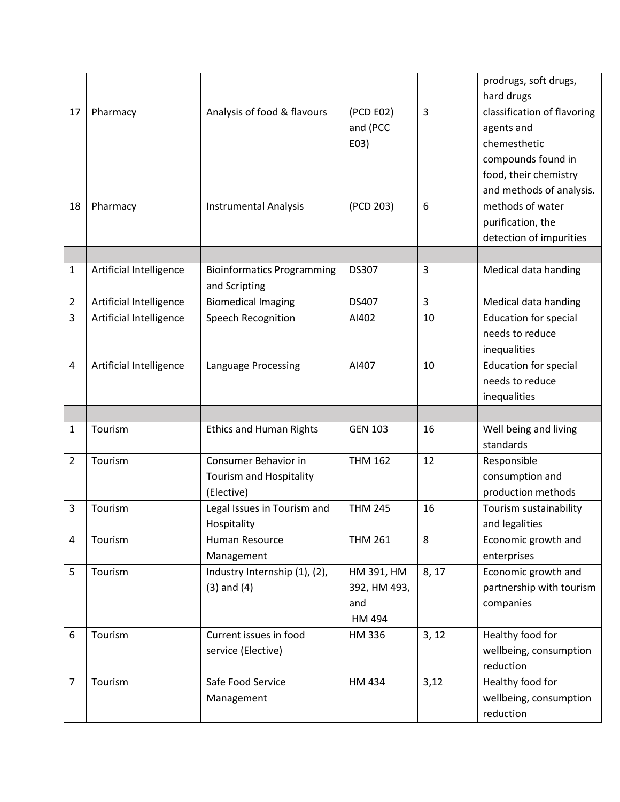|                |                         |                                                    |                |       | prodrugs, soft drugs,        |
|----------------|-------------------------|----------------------------------------------------|----------------|-------|------------------------------|
|                |                         |                                                    |                |       | hard drugs                   |
| 17             | Pharmacy                | Analysis of food & flavours                        | (PCD E02)      | 3     | classification of flavoring  |
|                |                         |                                                    | and (PCC       |       | agents and                   |
|                |                         |                                                    | E03)           |       | chemesthetic                 |
|                |                         |                                                    |                |       | compounds found in           |
|                |                         |                                                    |                |       | food, their chemistry        |
|                |                         |                                                    |                |       | and methods of analysis.     |
| 18             | Pharmacy                | <b>Instrumental Analysis</b>                       | (PCD 203)      | 6     | methods of water             |
|                |                         |                                                    |                |       | purification, the            |
|                |                         |                                                    |                |       | detection of impurities      |
|                |                         |                                                    |                |       |                              |
| 1              | Artificial Intelligence | <b>Bioinformatics Programming</b><br>and Scripting | <b>DS307</b>   | 3     | Medical data handing         |
| $\overline{2}$ | Artificial Intelligence | <b>Biomedical Imaging</b>                          | DS407          | 3     | Medical data handing         |
| 3              | Artificial Intelligence | Speech Recognition                                 | AI402          | 10    | <b>Education for special</b> |
|                |                         |                                                    |                |       | needs to reduce              |
|                |                         |                                                    |                |       | inequalities                 |
| 4              | Artificial Intelligence | Language Processing                                | AI407          | 10    | <b>Education for special</b> |
|                |                         |                                                    |                |       | needs to reduce              |
|                |                         |                                                    |                |       | inequalities                 |
|                |                         |                                                    |                |       |                              |
| 1              | Tourism                 | <b>Ethics and Human Rights</b>                     | <b>GEN 103</b> | 16    | Well being and living        |
|                |                         |                                                    |                |       | standards                    |
| 2              | Tourism                 | Consumer Behavior in                               | <b>THM 162</b> | 12    | Responsible                  |
|                |                         | Tourism and Hospitality                            |                |       | consumption and              |
|                |                         | (Elective)                                         |                |       | production methods           |
| 3              | Tourism                 | Legal Issues in Tourism and                        | <b>THM 245</b> | 16    | Tourism sustainability       |
|                |                         | Hospitality                                        |                |       | and legalities               |
| 4              | Tourism                 | Human Resource                                     | <b>THM 261</b> | 8     | Economic growth and          |
|                |                         | Management                                         |                |       | enterprises                  |
| 5              | Tourism                 | Industry Internship (1), (2),                      | HM 391, HM     | 8, 17 | Economic growth and          |
|                |                         | $(3)$ and $(4)$                                    | 392, HM 493,   |       | partnership with tourism     |
|                |                         |                                                    | and            |       | companies                    |
|                |                         |                                                    | HM 494         |       |                              |
| 6              | Tourism                 | Current issues in food                             | HM 336         | 3, 12 | Healthy food for             |
|                |                         | service (Elective)                                 |                |       | wellbeing, consumption       |
|                |                         |                                                    |                |       | reduction                    |
| 7              | Tourism                 | Safe Food Service                                  | HM 434         | 3,12  | Healthy food for             |
|                |                         | Management                                         |                |       | wellbeing, consumption       |
|                |                         |                                                    |                |       | reduction                    |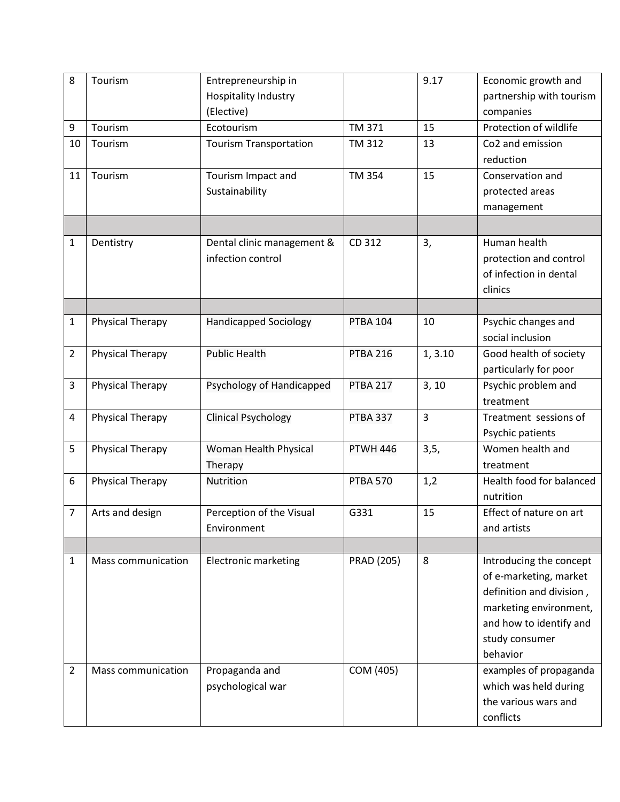| 8              | Tourism                 | Entrepreneurship in           |                   | 9.17    | Economic growth and      |
|----------------|-------------------------|-------------------------------|-------------------|---------|--------------------------|
|                |                         | Hospitality Industry          |                   |         | partnership with tourism |
|                |                         | (Elective)                    |                   |         | companies                |
| 9              | Tourism                 | Ecotourism                    | TM 371            | 15      | Protection of wildlife   |
| 10             | Tourism                 | <b>Tourism Transportation</b> | <b>TM 312</b>     | 13      | Co2 and emission         |
|                |                         |                               |                   |         | reduction                |
| 11             | Tourism                 | Tourism Impact and            | <b>TM 354</b>     | 15      | Conservation and         |
|                |                         | Sustainability                |                   |         | protected areas          |
|                |                         |                               |                   |         | management               |
|                |                         |                               |                   |         |                          |
| 1              | Dentistry               | Dental clinic management &    | CD 312            | 3,      | Human health             |
|                |                         | infection control             |                   |         | protection and control   |
|                |                         |                               |                   |         | of infection in dental   |
|                |                         |                               |                   |         | clinics                  |
|                |                         |                               |                   |         |                          |
| 1              | <b>Physical Therapy</b> | <b>Handicapped Sociology</b>  | <b>PTBA 104</b>   | 10      | Psychic changes and      |
|                |                         |                               |                   |         | social inclusion         |
| $\overline{2}$ | Physical Therapy        | <b>Public Health</b>          | <b>PTBA 216</b>   | 1, 3.10 | Good health of society   |
|                |                         |                               |                   |         | particularly for poor    |
| 3              | <b>Physical Therapy</b> | Psychology of Handicapped     | <b>PTBA 217</b>   | 3, 10   | Psychic problem and      |
|                |                         |                               |                   |         | treatment                |
| 4              | <b>Physical Therapy</b> | <b>Clinical Psychology</b>    | <b>PTBA 337</b>   | 3       | Treatment sessions of    |
|                |                         |                               |                   |         | Psychic patients         |
| 5              | <b>Physical Therapy</b> | Woman Health Physical         | <b>PTWH 446</b>   | 3, 5,   | Women health and         |
|                |                         | Therapy                       |                   |         | treatment                |
| 6              | Physical Therapy        | Nutrition                     | <b>PTBA 570</b>   | 1,2     | Health food for balanced |
|                |                         |                               |                   |         | nutrition                |
| $\overline{7}$ | Arts and design         | Perception of the Visual      | G331              | 15      | Effect of nature on art  |
|                |                         | Environment                   |                   |         | and artists              |
|                |                         |                               |                   |         |                          |
| 1              | Mass communication      | <b>Electronic marketing</b>   | <b>PRAD (205)</b> | 8       | Introducing the concept  |
|                |                         |                               |                   |         | of e-marketing, market   |
|                |                         |                               |                   |         | definition and division, |
|                |                         |                               |                   |         |                          |
|                |                         |                               |                   |         | marketing environment,   |
|                |                         |                               |                   |         | and how to identify and  |
|                |                         |                               |                   |         | study consumer           |
|                |                         |                               |                   |         | behavior                 |
| $\overline{2}$ | Mass communication      | Propaganda and                | COM (405)         |         | examples of propaganda   |
|                |                         | psychological war             |                   |         | which was held during    |
|                |                         |                               |                   |         | the various wars and     |
|                |                         |                               |                   |         | conflicts                |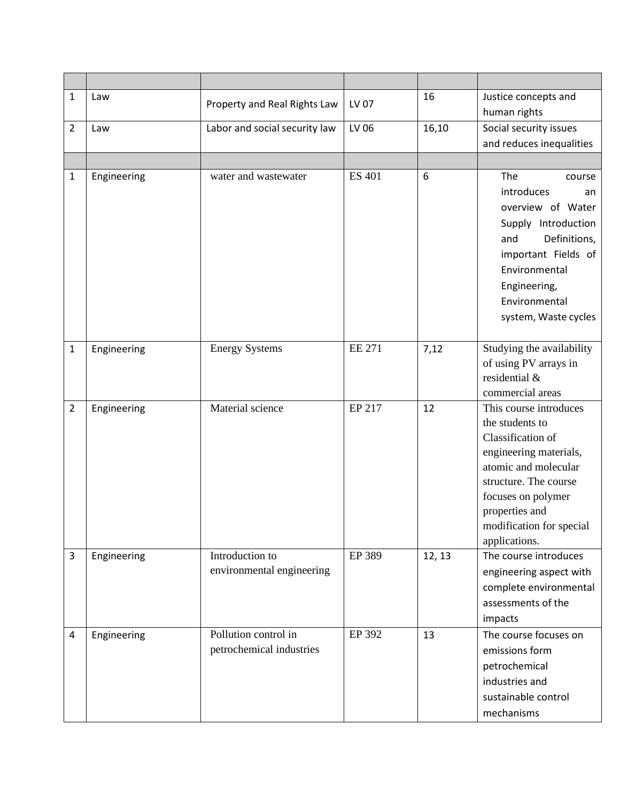| 1              | Law         | Property and Real Rights Law                     | LV 07         | 16     | Justice concepts and<br>human rights                                                                                                                                                                                           |
|----------------|-------------|--------------------------------------------------|---------------|--------|--------------------------------------------------------------------------------------------------------------------------------------------------------------------------------------------------------------------------------|
| $\overline{2}$ | Law         | Labor and social security law                    | LV 06         | 16,10  | Social security issues<br>and reduces inequalities                                                                                                                                                                             |
|                |             |                                                  |               |        |                                                                                                                                                                                                                                |
| $\mathbf{1}$   | Engineering | water and wastewater                             | <b>ES 401</b> | 6      | The<br>course<br>introduces<br>an<br>overview of Water<br>Supply Introduction<br>Definitions,<br>and<br>important Fields of<br>Environmental<br>Engineering,<br>Environmental<br>system, Waste cycles                          |
| $\mathbf{1}$   | Engineering | <b>Energy Systems</b>                            | <b>EE 271</b> | 7,12   | Studying the availability<br>of using PV arrays in<br>residential &<br>commercial areas                                                                                                                                        |
| $\overline{2}$ | Engineering | Material science                                 | EP 217        | 12     | This course introduces<br>the students to<br>Classification of<br>engineering materials,<br>atomic and molecular<br>structure. The course<br>focuses on polymer<br>properties and<br>modification for special<br>applications. |
| 3              | Engineering | Introduction to<br>environmental engineering     | EP 389        | 12, 13 | The course introduces<br>engineering aspect with<br>complete environmental<br>assessments of the<br>impacts                                                                                                                    |
| 4              | Engineering | Pollution control in<br>petrochemical industries | EP 392        | 13     | The course focuses on<br>emissions form<br>petrochemical<br>industries and<br>sustainable control<br>mechanisms                                                                                                                |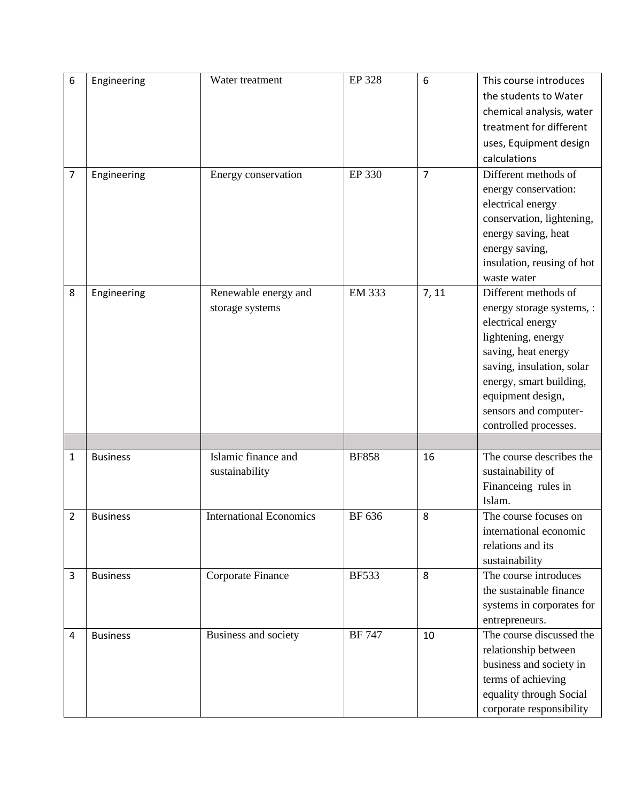| 6              | Engineering     | Water treatment                | EP 328        | 6              | This course introduces     |
|----------------|-----------------|--------------------------------|---------------|----------------|----------------------------|
|                |                 |                                |               |                | the students to Water      |
|                |                 |                                |               |                | chemical analysis, water   |
|                |                 |                                |               |                | treatment for different    |
|                |                 |                                |               |                | uses, Equipment design     |
|                |                 |                                |               |                | calculations               |
| $\overline{7}$ | Engineering     | Energy conservation            | EP 330        | $\overline{7}$ | Different methods of       |
|                |                 |                                |               |                | energy conservation:       |
|                |                 |                                |               |                | electrical energy          |
|                |                 |                                |               |                | conservation, lightening,  |
|                |                 |                                |               |                | energy saving, heat        |
|                |                 |                                |               |                | energy saving,             |
|                |                 |                                |               |                | insulation, reusing of hot |
|                |                 |                                |               |                | waste water                |
| 8              | Engineering     | Renewable energy and           | <b>EM 333</b> | 7, 11          | Different methods of       |
|                |                 | storage systems                |               |                | energy storage systems, :  |
|                |                 |                                |               |                | electrical energy          |
|                |                 |                                |               |                | lightening, energy         |
|                |                 |                                |               |                | saving, heat energy        |
|                |                 |                                |               |                | saving, insulation, solar  |
|                |                 |                                |               |                | energy, smart building,    |
|                |                 |                                |               |                | equipment design,          |
|                |                 |                                |               |                | sensors and computer-      |
|                |                 |                                |               |                | controlled processes.      |
|                |                 |                                |               |                |                            |
| 1              | <b>Business</b> | Islamic finance and            | <b>BF858</b>  | 16             | The course describes the   |
|                |                 | sustainability                 |               |                | sustainability of          |
|                |                 |                                |               |                | Financeing rules in        |
|                |                 |                                |               |                | Islam.                     |
| $\overline{2}$ | <b>Business</b> | <b>International Economics</b> | BF 636        | 8              | The course focuses on      |
|                |                 |                                |               |                | international economic     |
|                |                 |                                |               |                | relations and its          |
|                |                 |                                |               |                | sustainability             |
| 3              | <b>Business</b> | Corporate Finance              | <b>BF533</b>  | 8              | The course introduces      |
|                |                 |                                |               |                | the sustainable finance    |
|                |                 |                                |               |                | systems in corporates for  |
|                |                 |                                |               |                | entrepreneurs.             |
| 4              | <b>Business</b> | Business and society           | <b>BF 747</b> | 10             | The course discussed the   |
|                |                 |                                |               |                | relationship between       |
|                |                 |                                |               |                | business and society in    |
|                |                 |                                |               |                | terms of achieving         |
|                |                 |                                |               |                | equality through Social    |
|                |                 |                                |               |                | corporate responsibility   |